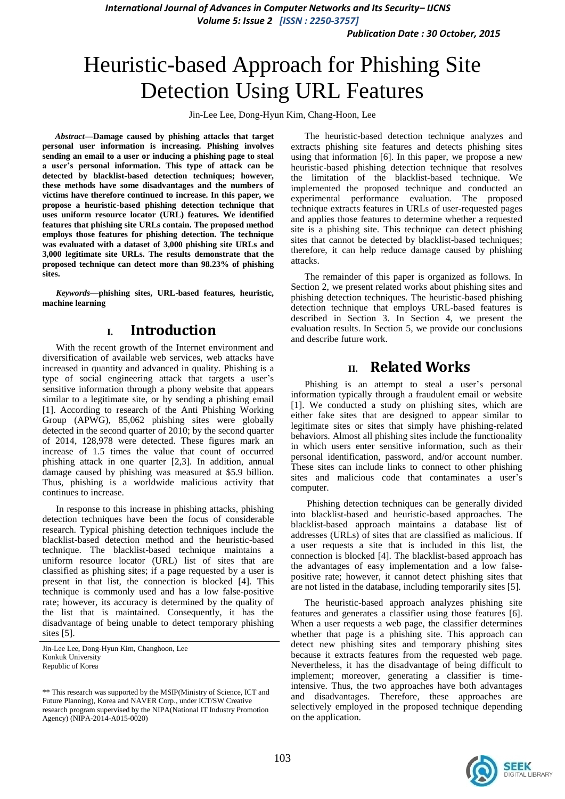*Publication Date : 30 October, 2015*

# Heuristic-based Approach for Phishing Site Detection Using URL Features

Jin-Lee Lee, Dong-Hyun Kim, Chang-Hoon, Lee

*Abstract***—Damage caused by phishing attacks that target personal user information is increasing. Phishing involves sending an email to a user or inducing a phishing page to steal a user's personal information. This type of attack can be detected by blacklist-based detection techniques; however, these methods have some disadvantages and the numbers of victims have therefore continued to increase. In this paper, we propose a heuristic-based phishing detection technique that uses uniform resource locator (URL) features. We identified features that phishing site URLs contain. The proposed method employs those features for phishing detection. The technique was evaluated with a dataset of 3,000 phishing site URLs and 3,000 legitimate site URLs. The results demonstrate that the proposed technique can detect more than 98.23% of phishing sites.**

*Keywords—***phishing sites, URL-based features, heuristic, machine learning** 

## **I. Introduction**

With the recent growth of the Internet environment and diversification of available web services, web attacks have increased in quantity and advanced in quality. Phishing is a type of social engineering attack that targets a user's sensitive information through a phony website that appears similar to a legitimate site, or by sending a phishing email [1]. According to research of the Anti Phishing Working Group (APWG), 85,062 phishing sites were globally detected in the second quarter of 2010; by the second quarter of 2014, 128,978 were detected. These figures mark an increase of 1.5 times the value that count of occurred phishing attack in one quarter [2,3]. In addition, annual damage caused by phishing was measured at \$5.9 billion. Thus, phishing is a worldwide malicious activity that continues to increase.

In response to this increase in phishing attacks, phishing detection techniques have been the focus of considerable research. Typical phishing detection techniques include the blacklist-based detection method and the heuristic-based technique. The blacklist-based technique maintains a uniform resource locator (URL) list of sites that are classified as phishing sites; if a page requested by a user is present in that list, the connection is blocked [4]. This technique is commonly used and has a low false-positive rate; however, its accuracy is determined by the quality of the list that is maintained. Consequently, it has the disadvantage of being unable to detect temporary phishing sites [5].

The heuristic-based detection technique analyzes and extracts phishing site features and detects phishing sites using that information [6]. In this paper, we propose a new heuristic-based phishing detection technique that resolves the limitation of the blacklist-based technique. We implemented the proposed technique and conducted an experimental performance evaluation. The proposed technique extracts features in URLs of user-requested pages and applies those features to determine whether a requested site is a phishing site. This technique can detect phishing sites that cannot be detected by blacklist-based techniques; therefore, it can help reduce damage caused by phishing attacks.

The remainder of this paper is organized as follows. In Section 2, we present related works about phishing sites and phishing detection techniques. The heuristic-based phishing detection technique that employs URL-based features is described in Section 3. In Section 4, we present the evaluation results. In Section 5, we provide our conclusions and describe future work.

# **II. Related Works**

Phishing is an attempt to steal a user's personal information typically through a fraudulent email or website [1]. We conducted a study on phishing sites, which are either fake sites that are designed to appear similar to legitimate sites or sites that simply have phishing-related behaviors. Almost all phishing sites include the functionality in which users enter sensitive information, such as their personal identification, password, and/or account number. These sites can include links to connect to other phishing sites and malicious code that contaminates a user's computer.

Phishing detection techniques can be generally divided into blacklist-based and heuristic-based approaches. The blacklist-based approach maintains a database list of addresses (URLs) of sites that are classified as malicious. If a user requests a site that is included in this list, the connection is blocked [4]. The blacklist-based approach has the advantages of easy implementation and a low falsepositive rate; however, it cannot detect phishing sites that are not listed in the database, including temporarily sites [5].

The heuristic-based approach analyzes phishing site features and generates a classifier using those features [6]. When a user requests a web page, the classifier determines whether that page is a phishing site. This approach can detect new phishing sites and temporary phishing sites because it extracts features from the requested web page. Nevertheless, it has the disadvantage of being difficult to implement; moreover, generating a classifier is timeintensive. Thus, the two approaches have both advantages and disadvantages. Therefore, these approaches are selectively employed in the proposed technique depending on the application.



Jin-Lee Lee, Dong-Hyun Kim, Changhoon, Lee Konkuk University Republic of Korea

<sup>\*\*</sup> This research was supported by the MSIP(Ministry of Science, ICT and Future Planning), Korea and NAVER Corp., under ICT/SW Creative research program supervised by the NIPA(National IT Industry Promotion Agency) (NIPA-2014-A015-0020)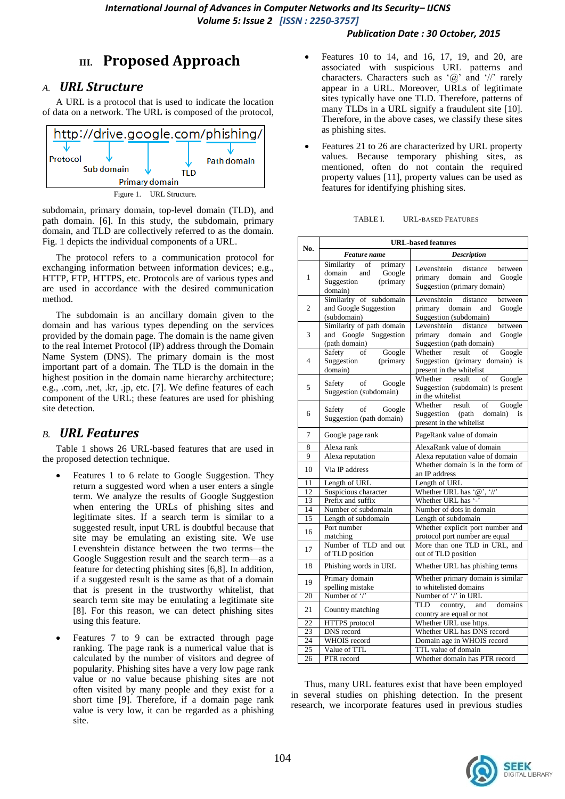#### *Publication Date : 30 October, 2015*

# **III. Proposed Approach**

## *A. URL Structure*

A URL is a protocol that is used to indicate the location of data on a network. The URL is composed of the protocol,



subdomain, primary domain, top-level domain (TLD), and path domain. [6]. In this study, the subdomain, primary domain, and TLD are collectively referred to as the domain. Fig. 1 depicts the individual components of a URL.

The protocol refers to a communication protocol for exchanging information between information devices; e.g., HTTP, FTP, HTTPS, etc. Protocols are of various types and are used in accordance with the desired communication method.

The subdomain is an ancillary domain given to the domain and has various types depending on the services provided by the domain page. The domain is the name given to the real Internet Protocol (IP) address through the Domain Name System (DNS). The primary domain is the most important part of a domain. The TLD is the domain in the highest position in the domain name hierarchy architecture; e.g., .com, .net, .kr, .jp, etc. [7]. We define features of each component of the URL; these features are used for phishing site detection.

### *B. URL Features*

Table 1 shows 26 URL-based features that are used in the proposed detection technique.

- Features 1 to 6 relate to Google Suggestion. They return a suggested word when a user enters a single term. We analyze the results of Google Suggestion when entering the URLs of phishing sites and legitimate sites. If a search term is similar to a suggested result, input URL is doubtful because that site may be emulating an existing site. We use Levenshtein distance between the two terms—the Google Suggestion result and the search term—as a feature for detecting phishing sites [6,8]. In addition, if a suggested result is the same as that of a domain that is present in the trustworthy whitelist, that search term site may be emulating a legitimate site [8]. For this reason, we can detect phishing sites using this feature.
- Features 7 to 9 can be extracted through page ranking. The page rank is a numerical value that is calculated by the number of visitors and degree of popularity. Phishing sites have a very low page rank value or no value because phishing sites are not often visited by many people and they exist for a short time [9]. Therefore, if a domain page rank value is very low, it can be regarded as a phishing site.
- Features 10 to 14, and 16, 17, 19, and 20, are associated with suspicious URL patterns and characters. Characters such as  $\langle \omega \rangle$  and  $\langle \omega \rangle$  rarely appear in a URL. Moreover, URLs of legitimate sites typically have one TLD. Therefore, patterns of many TLDs in a URL signify a fraudulent site [10]. Therefore, in the above cases, we classify these sites as phishing sites.
- Features 21 to 26 are characterized by URL property values. Because temporary phishing sites, as mentioned, often do not contain the required property values [11], property values can be used as features for identifying phishing sites.

TABLE I. URL-BASED FEATURES

| No.             | <b>URL-based features</b>                                                                   |                                                                                                      |  |  |
|-----------------|---------------------------------------------------------------------------------------------|------------------------------------------------------------------------------------------------------|--|--|
|                 | Feature name                                                                                | <b>Description</b>                                                                                   |  |  |
| 1               | Similarity<br>of<br>primary<br>Google<br>domain<br>and<br>Suggestion<br>(primary<br>domain) | Levenshtein<br>distance<br>between<br>primary domain<br>and<br>Google<br>Suggestion (primary domain) |  |  |
| $\overline{c}$  | Similarity of subdomain<br>and Google Suggestion<br>(subdomain)                             | Levenshtein<br>distance<br>between<br>primary domain<br>and<br>Google<br>Suggestion (subdomain)      |  |  |
| 3               | Similarity of path domain<br>and Google Suggestion<br>(path domain)                         | Levenshtein<br>distance<br>between<br>primary domain<br>and<br>Google<br>Suggestion (path domain)    |  |  |
| $\overline{4}$  | Safety<br>Google<br>of<br>Suggestion<br>(primary<br>domain)                                 | Whether result of<br>Google<br>Suggestion (primary domain) is<br>present in the whitelist            |  |  |
| 5               | of<br>Safety<br>Google<br>Suggestion (subdomain)                                            | Whether<br>result<br>of<br>Google<br>Suggestion (subdomain) is present<br>in the whitelist           |  |  |
| 6               | Safety<br>of<br>Google<br>Suggestion (path domain)                                          | Whether<br>result<br>of<br>Google<br>Suggestion (path<br>domain)<br>is<br>present in the whitelist   |  |  |
| 7               | Google page rank                                                                            | PageRank value of domain                                                                             |  |  |
| 8               | Alexa rank                                                                                  | AlexaRank value of domain                                                                            |  |  |
| 9               | Alexa reputation                                                                            | Alexa reputation value of domain                                                                     |  |  |
| 10              | Via IP address                                                                              | Whether domain is in the form of<br>an IP address                                                    |  |  |
| 11              | Length of URL                                                                               | Length of URL                                                                                        |  |  |
| 12              | Suspicious character                                                                        | Whether URL has '@', '//'                                                                            |  |  |
| 13              | Prefix and suffix                                                                           | Whether URL has '-'                                                                                  |  |  |
| 14              | Number of subdomain                                                                         | Number of dots in domain                                                                             |  |  |
| 15              | Length of subdomain                                                                         | Length of subdomain                                                                                  |  |  |
| 16              | Port number<br>matching                                                                     | Whether explicit port number and<br>protocol port number are equal                                   |  |  |
| 17              | Number of TLD and out<br>of TLD position                                                    | More than one TLD in URL, and<br>out of TLD position                                                 |  |  |
| 18              | Phishing words in URL                                                                       | Whether URL has phishing terms                                                                       |  |  |
| 19              | Primary domain<br>spelling mistake                                                          | Whether primary domain is similar<br>to whitelisted domains                                          |  |  |
| 20              | Number of $\frac{y}{z}$                                                                     | Number of '/' in URL                                                                                 |  |  |
| 21              | Country matching                                                                            | domains<br>TLD<br>country,<br>and<br>country are equal or not                                        |  |  |
| 22              | HTTPS protocol                                                                              | Whether URL use https.                                                                               |  |  |
| 23              | DNS record                                                                                  | Whether URL has DNS record                                                                           |  |  |
| 24              | WHOIS record                                                                                | Domain age in WHOIS record                                                                           |  |  |
| $\overline{25}$ | Value of TTL                                                                                | TTL value of domain                                                                                  |  |  |

Thus, many URL features exist that have been employed in several studies on phishing detection. In the present research, we incorporate features used in previous studies

26 PTR record Whether domain has PTR record

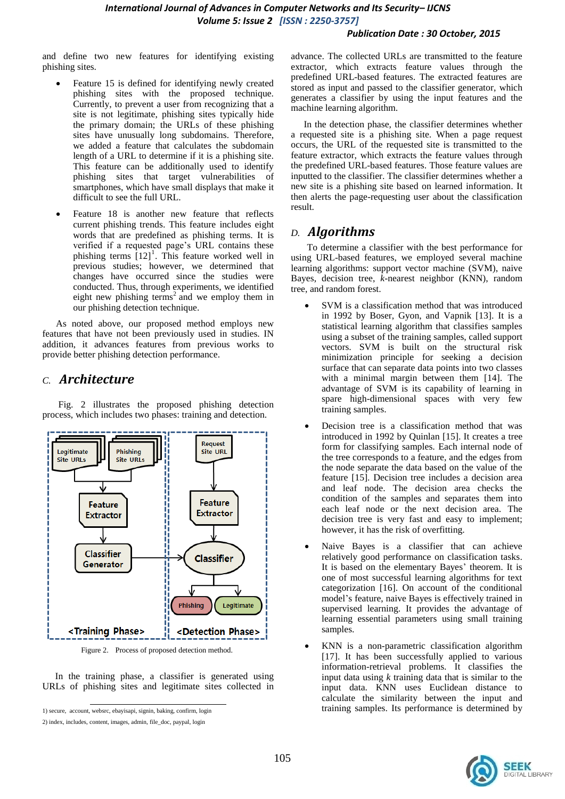and define two new features for identifying existing phishing sites.

- Feature 15 is defined for identifying newly created phishing sites with the proposed technique. Currently, to prevent a user from recognizing that a site is not legitimate, phishing sites typically hide the primary domain; the URLs of these phishing sites have unusually long subdomains. Therefore, we added a feature that calculates the subdomain length of a URL to determine if it is a phishing site. This feature can be additionally used to identify phishing sites that target vulnerabilities of smartphones, which have small displays that make it difficult to see the full URL.
- Feature 18 is another new feature that reflects current phishing trends. This feature includes eight words that are predefined as phishing terms. It is verified if a requested page's URL contains these phishing terms  $[12]$ <sup>1</sup>. This feature worked well in previous studies; however, we determined that changes have occurred since the studies were conducted. Thus, through experiments, we identified eight new phishing terms<sup>2</sup> and we employ them in our phishing detection technique.

As noted above, our proposed method employs new features that have not been previously used in studies. IN addition, it advances features from previous works to provide better phishing detection performance.

#### *C. Architecture*

Fig. 2 illustrates the proposed phishing detection process, which includes two phases: training and detection.



Figure 2. Process of proposed detection method.

In the training phase, a classifier is generated using URLs of phishing sites and legitimate sites collected in

advance. The collected URLs are transmitted to the feature extractor, which extracts feature values through the predefined URL-based features. The extracted features are stored as input and passed to the classifier generator, which generates a classifier by using the input features and the machine learning algorithm.

In the detection phase, the classifier determines whether a requested site is a phishing site. When a page request occurs, the URL of the requested site is transmitted to the feature extractor, which extracts the feature values through the predefined URL-based features. Those feature values are inputted to the classifier. The classifier determines whether a new site is a phishing site based on learned information. It then alerts the page-requesting user about the classification result.

#### *D. Algorithms*

To determine a classifier with the best performance for using URL-based features, we employed several machine learning algorithms: support vector machine (SVM), naive Bayes, decision tree, *k*-nearest neighbor (KNN), random tree, and random forest.

- SVM is a classification method that was introduced in 1992 by Boser, Gyon, and Vapnik [13]. It is a statistical learning algorithm that classifies samples using a subset of the training samples, called support vectors. SVM is built on the structural risk minimization principle for seeking a decision surface that can separate data points into two classes with a minimal margin between them [14]. The advantage of SVM is its capability of learning in spare high-dimensional spaces with very few training samples.
- Decision tree is a classification method that was introduced in 1992 by Quinlan [15]. It creates a tree form for classifying samples. Each internal node of the tree corresponds to a feature, and the edges from the node separate the data based on the value of the feature [15]. Decision tree includes a decision area and leaf node. The decision area checks the condition of the samples and separates them into each leaf node or the next decision area. The decision tree is very fast and easy to implement; however, it has the risk of overfitting.
- Naive Bayes is a classifier that can achieve relatively good performance on classification tasks. It is based on the elementary Bayes' theorem. It is one of most successful learning algorithms for text categorization [16]. On account of the conditional model's feature, naive Bayes is effectively trained in supervised learning. It provides the advantage of learning essential parameters using small training samples.
- KNN is a non-parametric classification algorithm [17]. It has been successfully applied to various information-retrieval problems. It classifies the input data using *k* training data that is similar to the input data. KNN uses Euclidean distance to calculate the similarity between the input and training samples. Its performance is determined by



<sup>1)</sup> secure, account, websrc, ebayisapi, signin, baking, confirm, login

<sup>2)</sup> index, includes, content, images, admin, file\_doc, paypal, login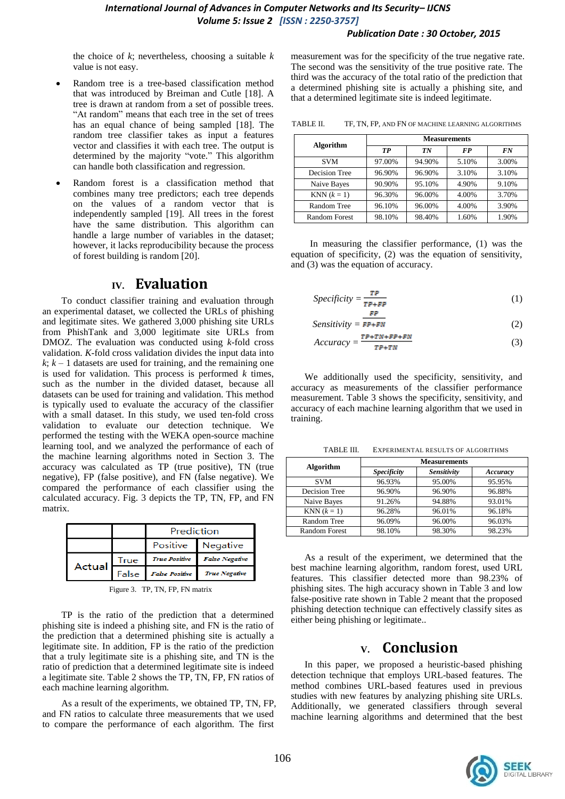#### *Publication Date : 30 October, 2015*

the choice of *k*; nevertheless, choosing a suitable *k* value is not easy.

- Random tree is a tree-based classification method that was introduced by Breiman and Cutle [18]. A tree is drawn at random from a set of possible trees. "At random" means that each tree in the set of trees has an equal chance of being sampled [18]. The random tree classifier takes as input a features vector and classifies it with each tree. The output is determined by the majority "vote." This algorithm can handle both classification and regression.
- Random forest is a classification method that combines many tree predictors; each tree depends on the values of a random vector that is independently sampled [19]. All trees in the forest have the same distribution. This algorithm can handle a large number of variables in the dataset; however, it lacks reproducibility because the process of forest building is random [20].

## **IV. Evaluation**

To conduct classifier training and evaluation through an experimental dataset, we collected the URLs of phishing and legitimate sites. We gathered 3,000 phishing site URLs from PhishTank and 3,000 legitimate site URLs from DMOZ. The evaluation was conducted using *k*-fold cross validation. *K*-fold cross validation divides the input data into  $k$ ;  $k - 1$  datasets are used for training, and the remaining one is used for validation. This process is performed *k* times, such as the number in the divided dataset, because all datasets can be used for training and validation. This method is typically used to evaluate the accuracy of the classifier with a small dataset. In this study, we used ten-fold cross validation to evaluate our detection technique. We performed the testing with the WEKA open-source machine learning tool, and we analyzed the performance of each of the machine learning algorithms noted in Section 3. The accuracy was calculated as TP (true positive), TN (true negative), FP (false positive), and FN (false negative). We compared the performance of each classifier using the calculated accuracy. Fig. 3 depicts the TP, TN, FP, and FN matrix.

|        |       | Prediction            |                       |  |
|--------|-------|-----------------------|-----------------------|--|
|        |       |                       | Positive Negative     |  |
|        | True  | <b>True Positive</b>  | <b>False Negative</b> |  |
| Actual | False | <b>False Positive</b> | <b>True Negative</b>  |  |

Figure 3. TP, TN, FP, FN matrix

TP is the ratio of the prediction that a determined phishing site is indeed a phishing site, and FN is the ratio of the prediction that a determined phishing site is actually a legitimate site. In addition, FP is the ratio of the prediction that a truly legitimate site is a phishing site, and TN is the ratio of prediction that a determined legitimate site is indeed a legitimate site. Table 2 shows the TP, TN, FP, FN ratios of each machine learning algorithm.

As a result of the experiments, we obtained TP, TN, FP, and FN ratios to calculate three measurements that we used to compare the performance of each algorithm. The first

measurement was for the specificity of the true negative rate. The second was the sensitivity of the true positive rate. The third was the accuracy of the total ratio of the prediction that a determined phishing site is actually a phishing site, and that a determined legitimate site is indeed legitimate.

TABLE II. TF, TN, FP, AND FN OF MACHINE LEARNING ALGORITHMS

|                      | <b>Measurements</b> |        |           |       |  |
|----------------------|---------------------|--------|-----------|-------|--|
| <b>Algorithm</b>     | TР                  | TN     | <b>FP</b> | FN    |  |
| <b>SVM</b>           | 97.00%              | 94.90% | 5.10%     | 3.00% |  |
| Decision Tree        | 96.90%              | 96.90% | 3.10%     | 3.10% |  |
| Naive Bayes          | 90.90%              | 95.10% | 4.90%     | 9.10% |  |
| $KNN (k = 1)$        | 96.30%              | 96.00% | 4.00%     | 3.70% |  |
| Random Tree          | 96.10%              | 96.00% | 4.00%     | 3.90% |  |
| <b>Random Forest</b> | 98.10%              | 98.40% | 1.60%     | 1.90% |  |

In measuring the classifier performance, (1) was the equation of specificity, (2) was the equation of sensitivity, and (3) was the equation of accuracy.

$$
Specificity = \frac{TP}{TP + FP}
$$
 (1)

$$
Sensitivity = \overline{FP + FN}
$$
 (2)

$$
Accuracy = \frac{\tau_{P+TN+FP+FN}}{\tau_{P+TN}}\tag{3}
$$

We additionally used the specificity, sensitivity, and accuracy as measurements of the classifier performance measurement. Table 3 shows the specificity, sensitivity, and accuracy of each machine learning algorithm that we used in training.

|                      | <b>Measurements</b> |             |          |  |  |
|----------------------|---------------------|-------------|----------|--|--|
| Algorithm            | <b>Specificity</b>  | Sensitivity | Accuracy |  |  |
| <b>SVM</b>           | 96.93%              | 95.00%      | 95.95%   |  |  |
| Decision Tree        | 96.90%              | 96.90%      | 96.88%   |  |  |
| Naive Bayes          | 91.26%              | 94.88%      | 93.01%   |  |  |
| $KNN (k = 1)$        | 96.28%              | 96.01%      | 96.18%   |  |  |
| Random Tree          | 96.09%              | 96.00%      | 96.03%   |  |  |
| <b>Random Forest</b> | 98.10%              | 98.30%      | 98.23%   |  |  |

TABLE III. EXPERIMENTAL RESULTS OF ALGORITHMS

As a result of the experiment, we determined that the best machine learning algorithm, random forest, used URL features. This classifier detected more than 98.23% of phishing sites. The high accuracy shown in Table 3 and low false-positive rate shown in Table 2 meant that the proposed phishing detection technique can effectively classify sites as either being phishing or legitimate..

# **V. Conclusion**

In this paper, we proposed a heuristic-based phishing detection technique that employs URL-based features. The method combines URL-based features used in previous studies with new features by analyzing phishing site URLs. Additionally, we generated classifiers through several machine learning algorithms and determined that the best